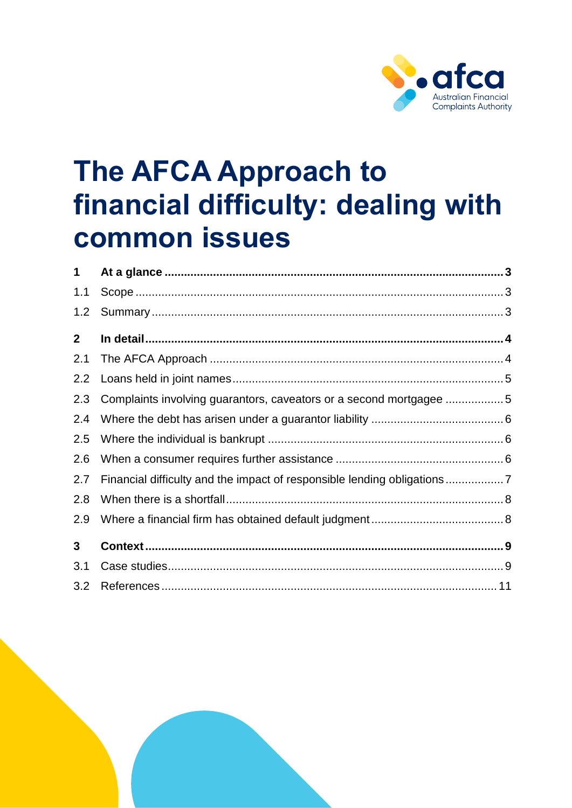

# **The AFCA Approach to** financial difficulty: dealing with **common issues**

| 1            |                                                                    |  |
|--------------|--------------------------------------------------------------------|--|
| 1.1          |                                                                    |  |
| 1.2          |                                                                    |  |
| $\mathbf{2}$ |                                                                    |  |
| 2.1          |                                                                    |  |
| 2.2          |                                                                    |  |
| 2.3          | Complaints involving guarantors, caveators or a second mortgagee 5 |  |
| 2.4          |                                                                    |  |
| 2.5          |                                                                    |  |
| 2.6          |                                                                    |  |
| 2.7          |                                                                    |  |
| 2.8          |                                                                    |  |
| 2.9          |                                                                    |  |
| $\mathbf{3}$ |                                                                    |  |
| 3.1          |                                                                    |  |
| 3.2          |                                                                    |  |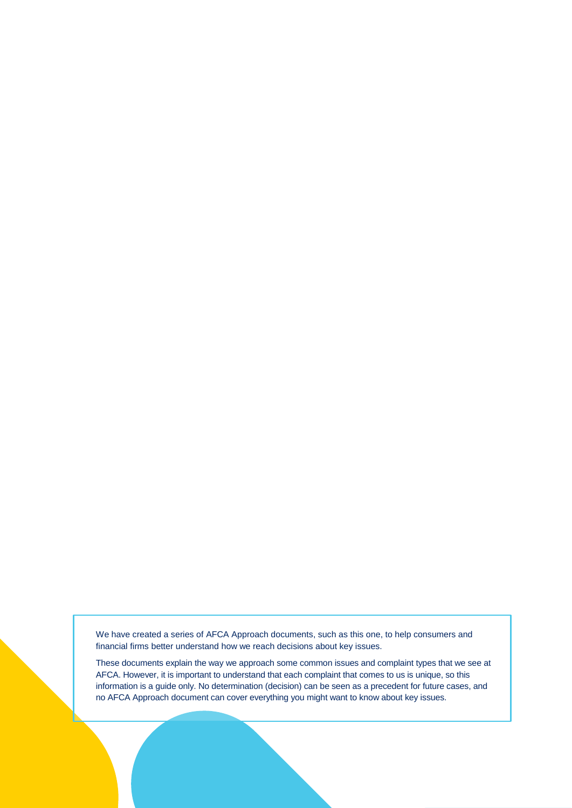We have created a series of AFCA Approach documents, such as this one, to help consumers and financial firms better understand how we reach decisions about key issues.

These documents explain the way we approach some common issues and complaint types that we see at AFCA. However, it is important to understand that each complaint that comes to us is unique, so this information is a guide only. No determination (decision) can be seen as a precedent for future cases, and no AFCA Approach document can cover everything you might want to know about key issues.

The AFCA approach to final different to final different  $\mathcal{A}$  of  $\mathcal{A}$  of 133 of 133 of 133 of 133 of 133 of 133 of 133 of 133 of 133 of 133 of 133 of 133 of 133 of 133 of 133 of 133 of 133 of 133 of 133 of 133 of 1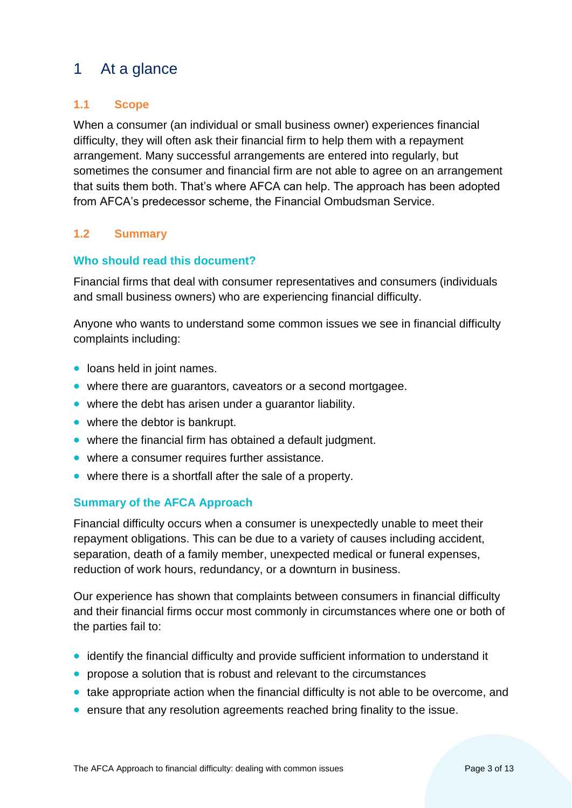# <span id="page-2-0"></span>1 At a glance

# <span id="page-2-1"></span>**1.1 Scope**

When a consumer (an individual or small business owner) experiences financial difficulty, they will often ask their financial firm to help them with a repayment arrangement. Many successful arrangements are entered into regularly, but sometimes the consumer and financial firm are not able to agree on an arrangement that suits them both. That's where AFCA can help. The approach has been adopted from AFCA's predecessor scheme, the Financial Ombudsman Service.

## <span id="page-2-2"></span>**1.2 Summary**

#### **Who should read this document?**

Financial firms that deal with consumer representatives and consumers (individuals and small business owners) who are experiencing financial difficulty.

Anyone who wants to understand some common issues we see in financial difficulty complaints including:

- loans held in joint names.
- where there are guarantors, caveators or a second mortgagee.
- where the debt has arisen under a quarantor liability.
- where the debtor is bankrupt.
- where the financial firm has obtained a default judgment.
- where a consumer requires further assistance.
- where there is a shortfall after the sale of a property.

#### **Summary of the AFCA Approach**

Financial difficulty occurs when a consumer is unexpectedly unable to meet their repayment obligations. This can be due to a variety of causes including accident, separation, death of a family member, unexpected medical or funeral expenses, reduction of work hours, redundancy, or a downturn in business.

Our experience has shown that complaints between consumers in financial difficulty and their financial firms occur most commonly in circumstances where one or both of the parties fail to:

- identify the financial difficulty and provide sufficient information to understand it
- propose a solution that is robust and relevant to the circumstances
- take appropriate action when the financial difficulty is not able to be overcome, and
- ensure that any resolution agreements reached bring finality to the issue.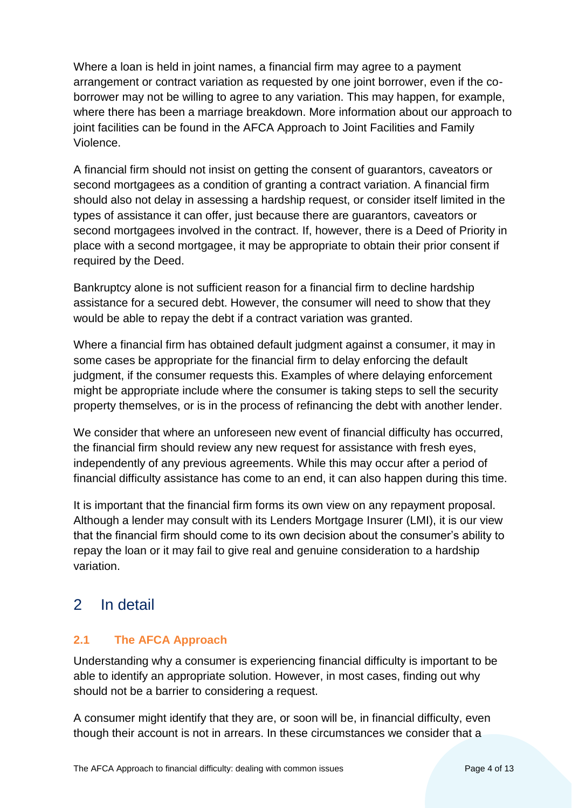Where a loan is held in joint names, a financial firm may agree to a payment arrangement or contract variation as requested by one joint borrower, even if the coborrower may not be willing to agree to any variation. This may happen, for example, where there has been a marriage breakdown. More information about our approach to joint facilities can be found in the AFCA Approach to Joint Facilities and Family Violence.

A financial firm should not insist on getting the consent of guarantors, caveators or second mortgagees as a condition of granting a contract variation. A financial firm should also not delay in assessing a hardship request, or consider itself limited in the types of assistance it can offer, just because there are guarantors, caveators or second mortgagees involved in the contract. If, however, there is a Deed of Priority in place with a second mortgagee, it may be appropriate to obtain their prior consent if required by the Deed.

Bankruptcy alone is not sufficient reason for a financial firm to decline hardship assistance for a secured debt. However, the consumer will need to show that they would be able to repay the debt if a contract variation was granted.

Where a financial firm has obtained default judgment against a consumer, it may in some cases be appropriate for the financial firm to delay enforcing the default judgment, if the consumer requests this. Examples of where delaying enforcement might be appropriate include where the consumer is taking steps to sell the security property themselves, or is in the process of refinancing the debt with another lender.

We consider that where an unforeseen new event of financial difficulty has occurred, the financial firm should review any new request for assistance with fresh eyes, independently of any previous agreements. While this may occur after a period of financial difficulty assistance has come to an end, it can also happen during this time.

It is important that the financial firm forms its own view on any repayment proposal. Although a lender may consult with its Lenders Mortgage Insurer (LMI), it is our view that the financial firm should come to its own decision about the consumer's ability to repay the loan or it may fail to give real and genuine consideration to a hardship variation.

# <span id="page-3-0"></span>2 In detail

# <span id="page-3-1"></span>**2.1 The AFCA Approach**

Understanding why a consumer is experiencing financial difficulty is important to be able to identify an appropriate solution. However, in most cases, finding out why should not be a barrier to considering a request.

A consumer might identify that they are, or soon will be, in financial difficulty, even though their account is not in arrears. In these circumstances we consider that a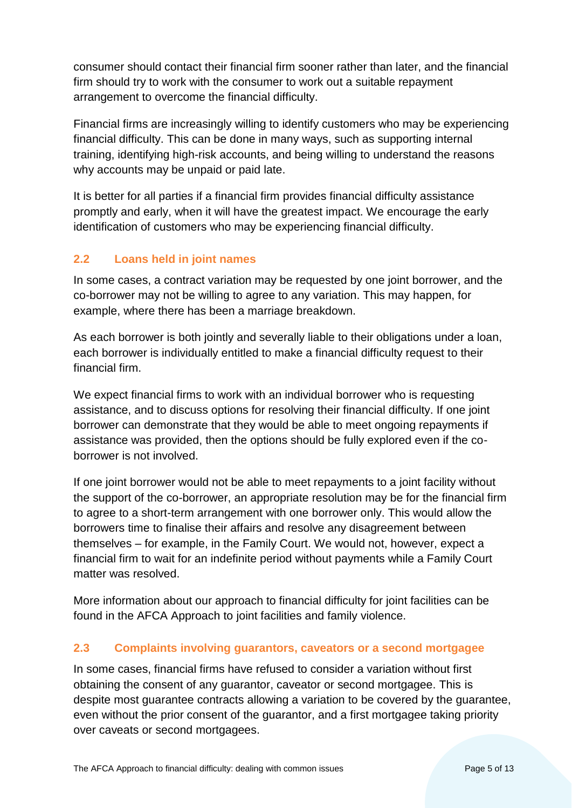consumer should contact their financial firm sooner rather than later, and the financial firm should try to work with the consumer to work out a suitable repayment arrangement to overcome the financial difficulty.

Financial firms are increasingly willing to identify customers who may be experiencing financial difficulty. This can be done in many ways, such as supporting internal training, identifying high-risk accounts, and being willing to understand the reasons why accounts may be unpaid or paid late.

It is better for all parties if a financial firm provides financial difficulty assistance promptly and early, when it will have the greatest impact. We encourage the early identification of customers who may be experiencing financial difficulty.

# <span id="page-4-0"></span>**2.2 Loans held in joint names**

In some cases, a contract variation may be requested by one joint borrower, and the co-borrower may not be willing to agree to any variation. This may happen, for example, where there has been a marriage breakdown.

As each borrower is both jointly and severally liable to their obligations under a loan, each borrower is individually entitled to make a financial difficulty request to their financial firm.

We expect financial firms to work with an individual borrower who is requesting assistance, and to discuss options for resolving their financial difficulty. If one joint borrower can demonstrate that they would be able to meet ongoing repayments if assistance was provided, then the options should be fully explored even if the coborrower is not involved.

If one joint borrower would not be able to meet repayments to a joint facility without the support of the co-borrower, an appropriate resolution may be for the financial firm to agree to a short-term arrangement with one borrower only. This would allow the borrowers time to finalise their affairs and resolve any disagreement between themselves – for example, in the Family Court. We would not, however, expect a financial firm to wait for an indefinite period without payments while a Family Court matter was resolved.

More information about our approach to financial difficulty for joint facilities can be found in the AFCA Approach to joint facilities and family violence.

## <span id="page-4-1"></span>**2.3 Complaints involving guarantors, caveators or a second mortgagee**

In some cases, financial firms have refused to consider a variation without first obtaining the consent of any guarantor, caveator or second mortgagee. This is despite most guarantee contracts allowing a variation to be covered by the guarantee, even without the prior consent of the guarantor, and a first mortgagee taking priority over caveats or second mortgagees.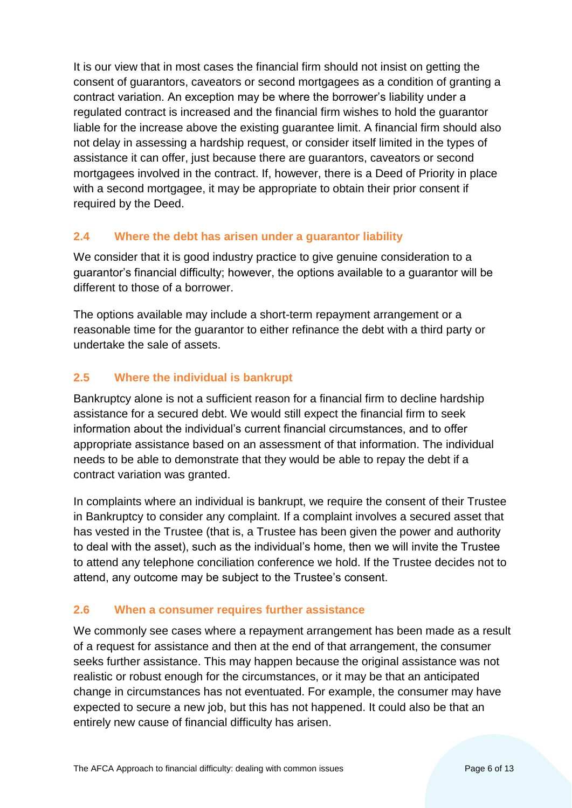It is our view that in most cases the financial firm should not insist on getting the consent of guarantors, caveators or second mortgagees as a condition of granting a contract variation. An exception may be where the borrower's liability under a regulated contract is increased and the financial firm wishes to hold the guarantor liable for the increase above the existing guarantee limit. A financial firm should also not delay in assessing a hardship request, or consider itself limited in the types of assistance it can offer, just because there are guarantors, caveators or second mortgagees involved in the contract. If, however, there is a Deed of Priority in place with a second mortgagee, it may be appropriate to obtain their prior consent if required by the Deed.

## <span id="page-5-0"></span>**2.4 Where the debt has arisen under a guarantor liability**

We consider that it is good industry practice to give genuine consideration to a guarantor's financial difficulty; however, the options available to a guarantor will be different to those of a borrower.

The options available may include a short-term repayment arrangement or a reasonable time for the guarantor to either refinance the debt with a third party or undertake the sale of assets.

# <span id="page-5-1"></span>**2.5 Where the individual is bankrupt**

Bankruptcy alone is not a sufficient reason for a financial firm to decline hardship assistance for a secured debt. We would still expect the financial firm to seek information about the individual's current financial circumstances, and to offer appropriate assistance based on an assessment of that information. The individual needs to be able to demonstrate that they would be able to repay the debt if a contract variation was granted.

In complaints where an individual is bankrupt, we require the consent of their Trustee in Bankruptcy to consider any complaint. If a complaint involves a secured asset that has vested in the Trustee (that is, a Trustee has been given the power and authority to deal with the asset), such as the individual's home, then we will invite the Trustee to attend any telephone conciliation conference we hold. If the Trustee decides not to attend, any outcome may be subject to the Trustee's consent.

## <span id="page-5-2"></span>**2.6 When a consumer requires further assistance**

We commonly see cases where a repayment arrangement has been made as a result of a request for assistance and then at the end of that arrangement, the consumer seeks further assistance. This may happen because the original assistance was not realistic or robust enough for the circumstances, or it may be that an anticipated change in circumstances has not eventuated. For example, the consumer may have expected to secure a new job, but this has not happened. It could also be that an entirely new cause of financial difficulty has arisen.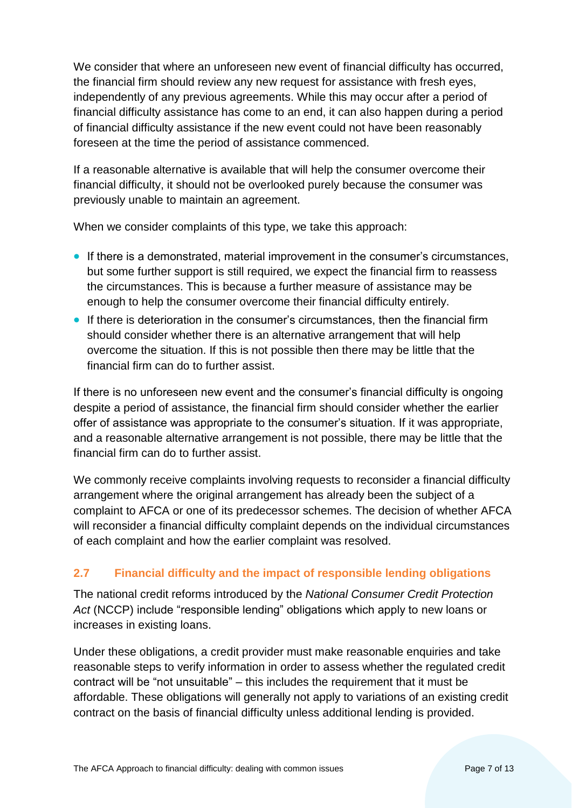We consider that where an unforeseen new event of financial difficulty has occurred, the financial firm should review any new request for assistance with fresh eyes, independently of any previous agreements. While this may occur after a period of financial difficulty assistance has come to an end, it can also happen during a period of financial difficulty assistance if the new event could not have been reasonably foreseen at the time the period of assistance commenced.

If a reasonable alternative is available that will help the consumer overcome their financial difficulty, it should not be overlooked purely because the consumer was previously unable to maintain an agreement.

When we consider complaints of this type, we take this approach:

- If there is a demonstrated, material improvement in the consumer's circumstances, but some further support is still required, we expect the financial firm to reassess the circumstances. This is because a further measure of assistance may be enough to help the consumer overcome their financial difficulty entirely.
- If there is deterioration in the consumer's circumstances, then the financial firm should consider whether there is an alternative arrangement that will help overcome the situation. If this is not possible then there may be little that the financial firm can do to further assist.

If there is no unforeseen new event and the consumer's financial difficulty is ongoing despite a period of assistance, the financial firm should consider whether the earlier offer of assistance was appropriate to the consumer's situation. If it was appropriate, and a reasonable alternative arrangement is not possible, there may be little that the financial firm can do to further assist.

We commonly receive complaints involving requests to reconsider a financial difficulty arrangement where the original arrangement has already been the subject of a complaint to AFCA or one of its predecessor schemes. The decision of whether AFCA will reconsider a financial difficulty complaint depends on the individual circumstances of each complaint and how the earlier complaint was resolved.

# <span id="page-6-0"></span>**2.7 Financial difficulty and the impact of responsible lending obligations**

The national credit reforms introduced by the *National Consumer Credit Protection Act* (NCCP) include "responsible lending" obligations which apply to new loans or increases in existing loans.

Under these obligations, a credit provider must make reasonable enquiries and take reasonable steps to verify information in order to assess whether the regulated credit contract will be "not unsuitable" – this includes the requirement that it must be affordable. These obligations will generally not apply to variations of an existing credit contract on the basis of financial difficulty unless additional lending is provided.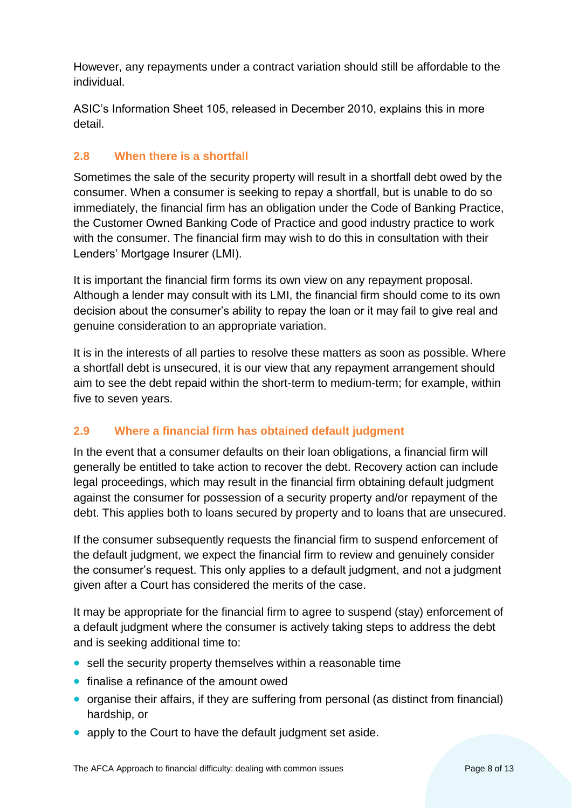However, any repayments under a contract variation should still be affordable to the individual.

ASIC's Information Sheet 105, released in December 2010, explains this in more detail.

# <span id="page-7-0"></span>**2.8 When there is a shortfall**

Sometimes the sale of the security property will result in a shortfall debt owed by the consumer. When a consumer is seeking to repay a shortfall, but is unable to do so immediately, the financial firm has an obligation under the Code of Banking Practice, the Customer Owned Banking Code of Practice and good industry practice to work with the consumer. The financial firm may wish to do this in consultation with their Lenders' Mortgage Insurer (LMI).

It is important the financial firm forms its own view on any repayment proposal. Although a lender may consult with its LMI, the financial firm should come to its own decision about the consumer's ability to repay the loan or it may fail to give real and genuine consideration to an appropriate variation.

It is in the interests of all parties to resolve these matters as soon as possible. Where a shortfall debt is unsecured, it is our view that any repayment arrangement should aim to see the debt repaid within the short-term to medium-term; for example, within five to seven years.

## <span id="page-7-1"></span>**2.9 Where a financial firm has obtained default judgment**

In the event that a consumer defaults on their loan obligations, a financial firm will generally be entitled to take action to recover the debt. Recovery action can include legal proceedings, which may result in the financial firm obtaining default judgment against the consumer for possession of a security property and/or repayment of the debt. This applies both to loans secured by property and to loans that are unsecured.

If the consumer subsequently requests the financial firm to suspend enforcement of the default judgment, we expect the financial firm to review and genuinely consider the consumer's request. This only applies to a default judgment, and not a judgment given after a Court has considered the merits of the case.

It may be appropriate for the financial firm to agree to suspend (stay) enforcement of a default judgment where the consumer is actively taking steps to address the debt and is seeking additional time to:

- sell the security property themselves within a reasonable time
- finalise a refinance of the amount owed
- organise their affairs, if they are suffering from personal (as distinct from financial) hardship, or
- apply to the Court to have the default judgment set aside.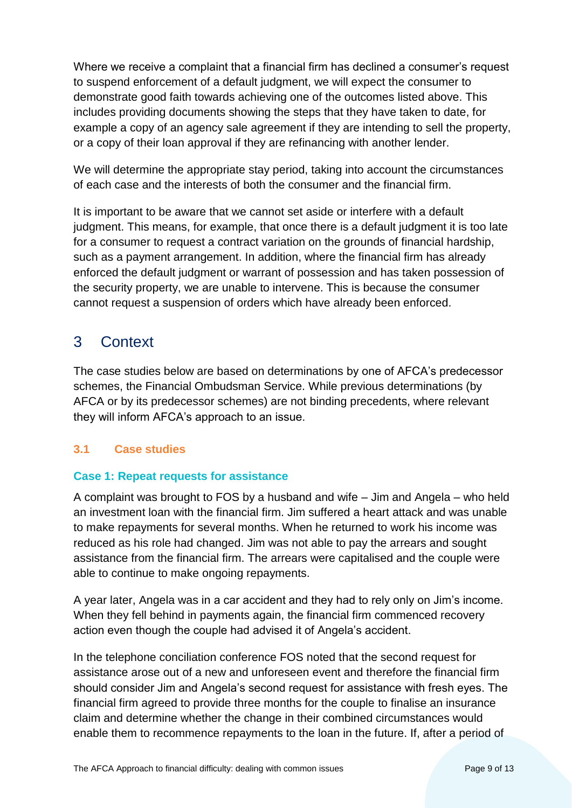Where we receive a complaint that a financial firm has declined a consumer's request to suspend enforcement of a default judgment, we will expect the consumer to demonstrate good faith towards achieving one of the outcomes listed above. This includes providing documents showing the steps that they have taken to date, for example a copy of an agency sale agreement if they are intending to sell the property, or a copy of their loan approval if they are refinancing with another lender.

We will determine the appropriate stay period, taking into account the circumstances of each case and the interests of both the consumer and the financial firm.

It is important to be aware that we cannot set aside or interfere with a default judgment. This means, for example, that once there is a default judgment it is too late for a consumer to request a contract variation on the grounds of financial hardship, such as a payment arrangement. In addition, where the financial firm has already enforced the default judgment or warrant of possession and has taken possession of the security property, we are unable to intervene. This is because the consumer cannot request a suspension of orders which have already been enforced.

# <span id="page-8-0"></span>3 Context

The case studies below are based on determinations by one of AFCA's predecessor schemes, the Financial Ombudsman Service. While previous determinations (by AFCA or by its predecessor schemes) are not binding precedents, where relevant they will inform AFCA's approach to an issue.

# <span id="page-8-1"></span>**3.1 Case studies**

# **Case 1: Repeat requests for assistance**

A complaint was brought to FOS by a husband and wife – Jim and Angela – who held an investment loan with the financial firm. Jim suffered a heart attack and was unable to make repayments for several months. When he returned to work his income was reduced as his role had changed. Jim was not able to pay the arrears and sought assistance from the financial firm. The arrears were capitalised and the couple were able to continue to make ongoing repayments.

A year later, Angela was in a car accident and they had to rely only on Jim's income. When they fell behind in payments again, the financial firm commenced recovery action even though the couple had advised it of Angela's accident.

In the telephone conciliation conference FOS noted that the second request for assistance arose out of a new and unforeseen event and therefore the financial firm should consider Jim and Angela's second request for assistance with fresh eyes. The financial firm agreed to provide three months for the couple to finalise an insurance claim and determine whether the change in their combined circumstances would enable them to recommence repayments to the loan in the future. If, after a period of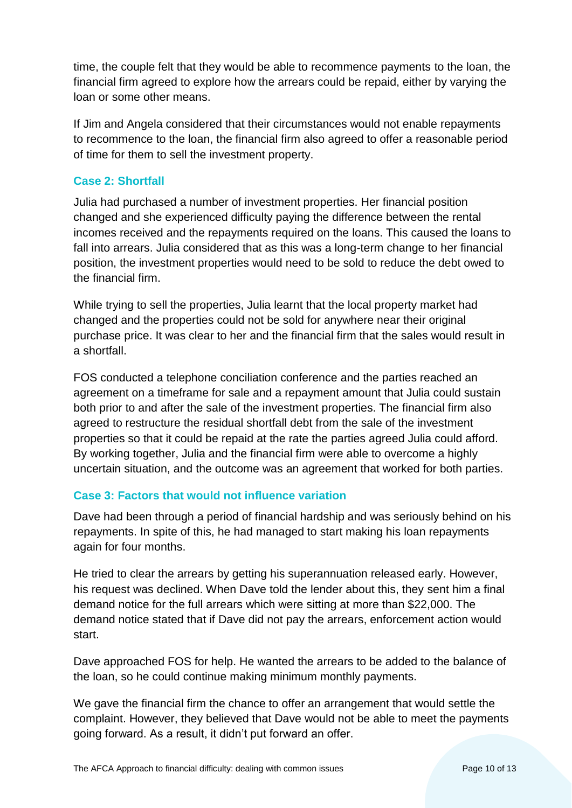time, the couple felt that they would be able to recommence payments to the loan, the financial firm agreed to explore how the arrears could be repaid, either by varying the loan or some other means.

If Jim and Angela considered that their circumstances would not enable repayments to recommence to the loan, the financial firm also agreed to offer a reasonable period of time for them to sell the investment property.

#### **Case 2: Shortfall**

Julia had purchased a number of investment properties. Her financial position changed and she experienced difficulty paying the difference between the rental incomes received and the repayments required on the loans. This caused the loans to fall into arrears. Julia considered that as this was a long-term change to her financial position, the investment properties would need to be sold to reduce the debt owed to the financial firm.

While trying to sell the properties, Julia learnt that the local property market had changed and the properties could not be sold for anywhere near their original purchase price. It was clear to her and the financial firm that the sales would result in a shortfall.

FOS conducted a telephone conciliation conference and the parties reached an agreement on a timeframe for sale and a repayment amount that Julia could sustain both prior to and after the sale of the investment properties. The financial firm also agreed to restructure the residual shortfall debt from the sale of the investment properties so that it could be repaid at the rate the parties agreed Julia could afford. By working together, Julia and the financial firm were able to overcome a highly uncertain situation, and the outcome was an agreement that worked for both parties.

## **Case 3: Factors that would not influence variation**

Dave had been through a period of financial hardship and was seriously behind on his repayments. In spite of this, he had managed to start making his loan repayments again for four months.

He tried to clear the arrears by getting his superannuation released early. However, his request was declined. When Dave told the lender about this, they sent him a final demand notice for the full arrears which were sitting at more than \$22,000. The demand notice stated that if Dave did not pay the arrears, enforcement action would start.

Dave approached FOS for help. He wanted the arrears to be added to the balance of the loan, so he could continue making minimum monthly payments.

We gave the financial firm the chance to offer an arrangement that would settle the complaint. However, they believed that Dave would not be able to meet the payments going forward. As a result, it didn't put forward an offer.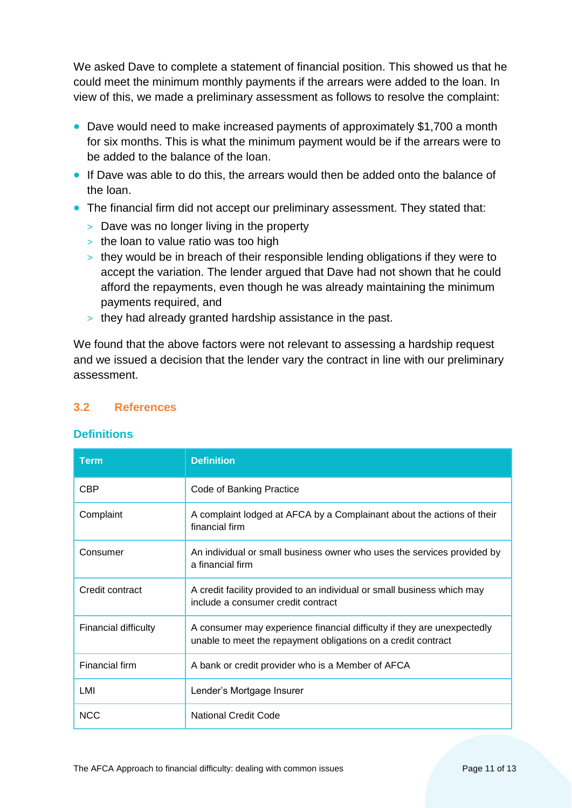We asked Dave to complete a statement of financial position. This showed us that he could meet the minimum monthly payments if the arrears were added to the loan. In view of this, we made a preliminary assessment as follows to resolve the complaint:

- Dave would need to make increased payments of approximately \$1,700 a month for six months. This is what the minimum payment would be if the arrears were to be added to the balance of the loan.
- If Dave was able to do this, the arrears would then be added onto the balance of the loan.
- The financial firm did not accept our preliminary assessment. They stated that:
	- > Dave was no longer living in the property
	- > the loan to value ratio was too high
	- > they would be in breach of their responsible lending obligations if they were to accept the variation. The lender argued that Dave had not shown that he could afford the repayments, even though he was already maintaining the minimum payments required, and
	- > they had already granted hardship assistance in the past.

We found that the above factors were not relevant to assessing a hardship request and we issued a decision that the lender vary the contract in line with our preliminary assessment.

## <span id="page-10-0"></span>**3.2 References**

#### **Definitions**

| <b>Term</b>           | <b>Definition</b>                                                                                                                        |
|-----------------------|------------------------------------------------------------------------------------------------------------------------------------------|
| <b>CBP</b>            | Code of Banking Practice                                                                                                                 |
| Complaint             | A complaint lodged at AFCA by a Complainant about the actions of their<br>financial firm                                                 |
| Consumer              | An individual or small business owner who uses the services provided by<br>a financial firm                                              |
| Credit contract       | A credit facility provided to an individual or small business which may<br>include a consumer credit contract                            |
| Financial difficulty  | A consumer may experience financial difficulty if they are unexpectedly<br>unable to meet the repayment obligations on a credit contract |
| <b>Financial firm</b> | A bank or credit provider who is a Member of AFCA                                                                                        |
| LMI                   | Lender's Mortgage Insurer                                                                                                                |
| <b>NCC</b>            | <b>National Credit Code</b>                                                                                                              |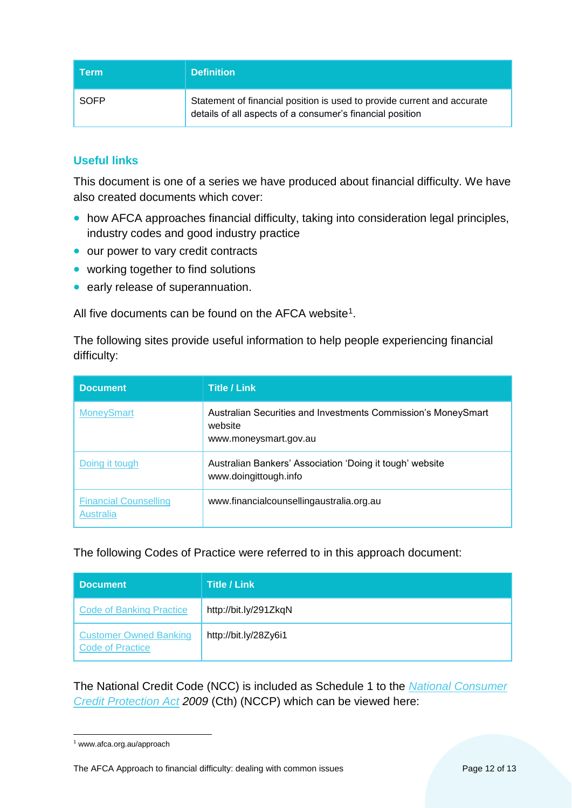| <b>Term</b> | <b>Definition</b>                                                                                                                    |
|-------------|--------------------------------------------------------------------------------------------------------------------------------------|
| SOFP        | Statement of financial position is used to provide current and accurate<br>details of all aspects of a consumer's financial position |

# **Useful links**

This document is one of a series we have produced about financial difficulty. We have also created documents which cover:

- how AFCA approaches financial difficulty, taking into consideration legal principles, industry codes and good industry practice
- our power to vary credit contracts
- working together to find solutions
- early release of superannuation.

All five documents can be found on the AFCA website<sup>1</sup>.

The following sites provide useful information to help people experiencing financial difficulty:

| <b>Document</b>                           | <b>Title / Link</b>                                                                               |
|-------------------------------------------|---------------------------------------------------------------------------------------------------|
| <b>MoneySmart</b>                         | Australian Securities and Investments Commission's MoneySmart<br>website<br>www.moneysmart.gov.au |
| Doing it tough                            | Australian Bankers' Association 'Doing it tough' website<br>www.doingittough.info                 |
| <b>Financial Counselling</b><br>Australia | www.financialcounsellingaustralia.org.au                                                          |

#### The following Codes of Practice were referred to in this approach document:

| <b>Document</b>                                          | <b>Title / Link</b>   |
|----------------------------------------------------------|-----------------------|
| <b>Code of Banking Practice</b>                          | http://bit.ly/291ZkqN |
| <b>Customer Owned Banking</b><br><b>Code of Practice</b> | http://bit.ly/28Zy6i1 |

The National Credit Code (NCC) is included as Schedule 1 to the *[National Consumer](http://bit.ly/28ZokuH)  [Credit Protection Act](http://bit.ly/28ZokuH) 2009* (Cth) (NCCP) which can be viewed here:

The AFCA Approach to financial difficulty: dealing with common issues Page 12 of 13

 $\overline{a}$ <sup>1</sup> www.afca.org.au/approach